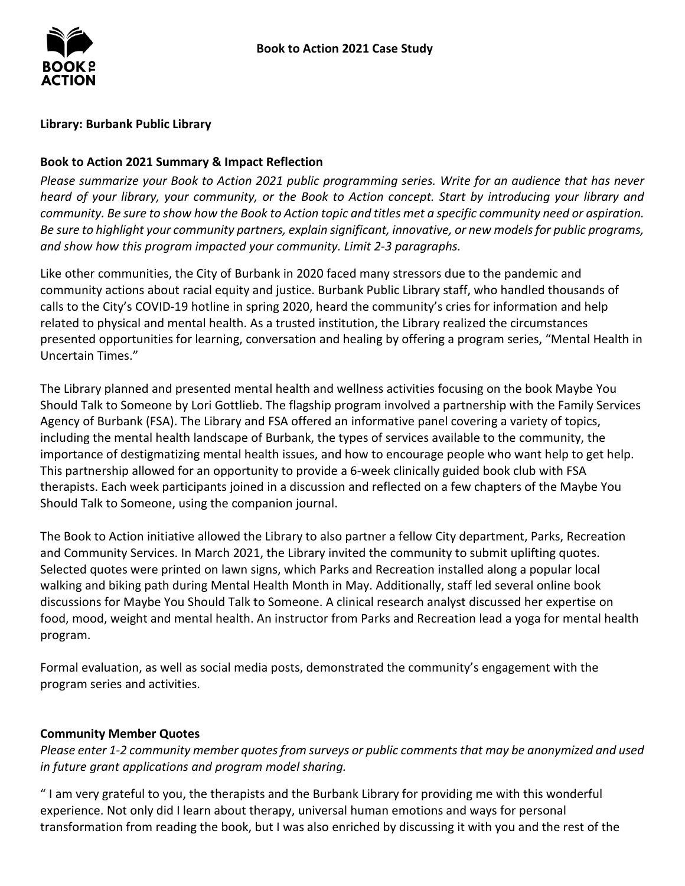### **Library: Burbank Public Library**

### **Book to Action 2021 Summary & Impact Reflection**

*Please summarize your Book to Action 2021 public programming series. Write for an audience that has never heard of your library, your community, or the Book to Action concept. Start by introducing your library and community. Be sure to show how the Book to Action topic and titles met a specific community need or aspiration. Be sure to highlight your community partners, explain significant, innovative, or new models for public programs, and show how this program impacted your community. Limit 2-3 paragraphs.* 

 Like other communities, the City of Burbank in 2020 faced many stressors due to the pandemic and presented opportunities for learning, conversation and healing by offering a program series, "Mental Health in community actions about racial equity and justice. Burbank Public Library staff, who handled thousands of calls to the City's COVID-19 hotline in spring 2020, heard the community's cries for information and help related to physical and mental health. As a trusted institution, the Library realized the circumstances Uncertain Times."

 Should Talk to Someone by Lori Gottlieb. The flagship program involved a partnership with the Family Services including the mental health landscape of Burbank, the types of services available to the community, the importance of destigmatizing mental health issues, and how to encourage people who want help to get help. This partnership allowed for an opportunity to provide a 6-week clinically guided book club with FSA therapists. Each week participants joined in a discussion and reflected on a few chapters of the Maybe You The Library planned and presented mental health and wellness activities focusing on the book Maybe You Agency of Burbank (FSA). The Library and FSA offered an informative panel covering a variety of topics, Should Talk to Someone, using the companion journal.

 The Book to Action initiative allowed the Library to also partner a fellow City department, Parks, Recreation discussions for Maybe You Should Talk to Someone. A clinical research analyst discussed her expertise on food, mood, weight and mental health. An instructor from Parks and Recreation lead a yoga for mental health and Community Services. In March 2021, the Library invited the community to submit uplifting quotes. Selected quotes were printed on lawn signs, which Parks and Recreation installed along a popular local walking and biking path during Mental Health Month in May. Additionally, staff led several online book program.

Formal evaluation, as well as social media posts, demonstrated the community's engagement with the program series and activities.

#### **Community Member Quotes**

*Please enter 1-2 community member quotes from surveys or public comments that may be anonymized and used in future grant applications and program model sharing.* 

 " I am very grateful to you, the therapists and the Burbank Library for providing me with this wonderful experience. Not only did I learn about therapy, universal human emotions and ways for personal transformation from reading the book, but I was also enriched by discussing it with you and the rest of the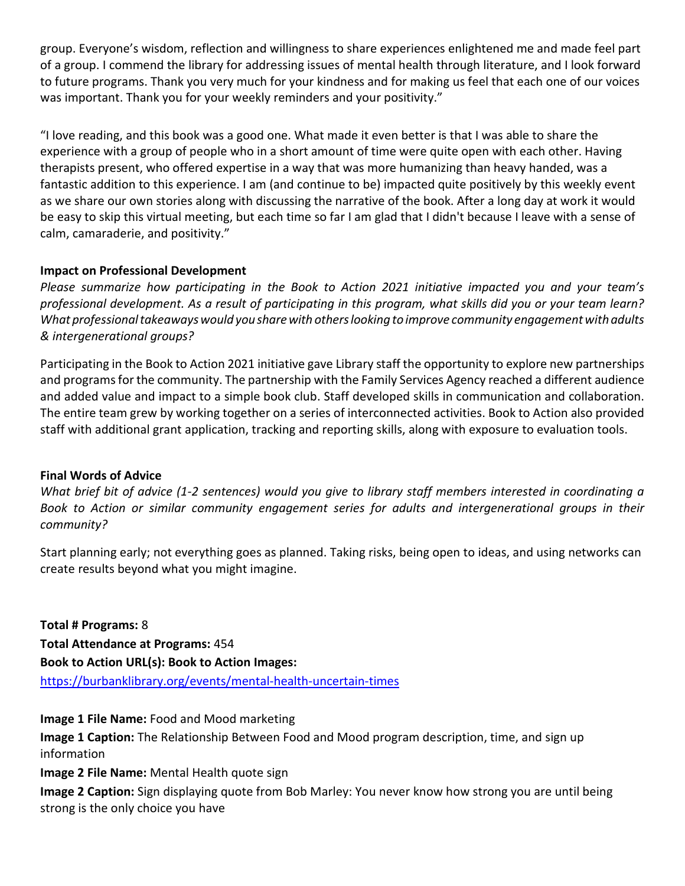group. Everyone's wisdom, reflection and willingness to share experiences enlightened me and made feel part of a group. I commend the library for addressing issues of mental health through literature, and I look forward to future programs. Thank you very much for your kindness and for making us feel that each one of our voices was important. Thank you for your weekly reminders and your positivity."

 "I love reading, and this book was a good one. What made it even better is that I was able to share the experience with a group of people who in a short amount of time were quite open with each other. Having therapists present, who offered expertise in a way that was more humanizing than heavy handed, was a fantastic addition to this experience. I am (and continue to be) impacted quite positively by this weekly event be easy to skip this virtual meeting, but each time so far I am glad that I didn't because I leave with a sense of as we share our own stories along with discussing the narrative of the book. After a long day at work it would calm, camaraderie, and positivity."

# **Impact on Professional Development**

 *What professional takeaways would you share with others looking to improve community engagement with adults & intergenerational groups? Please summarize how participating in the Book to Action 2021 initiative impacted you and your team's professional development. As a result of participating in this program, what skills did you or your team learn?* 

 and programs for the community. The partnership with the Family Services Agency reached a different audience and added value and impact to a simple book club. Staff developed skills in communication and collaboration. The entire team grew by working together on a series of interconnected activities. Book to Action also provided Participating in the Book to Action 2021 initiative gave Library staff the opportunity to explore new partnerships staff with additional grant application, tracking and reporting skills, along with exposure to evaluation tools.

# **Final Words of Advice**

*What brief bit of advice (1-2 sentences) would you give to library staff members interested in coordinating a Book to Action or similar community engagement series for adults and intergenerational groups in their community?* 

 Start planning early; not everything goes as planned. Taking risks, being open to ideas, and using networks can create results beyond what you might imagine.

 **Total # Programs:** 8 **Book to Action URL(s): Book to Action Images: Total Attendance at Programs:** 454 <https://burbanklibrary.org/events/mental-health-uncertain-times>

**Image 1 File Name:** Food and Mood marketing

**Image 1 Caption:** The Relationship Between Food and Mood program description, time, and sign up information

**Image 2 File Name:** Mental Health quote sign

 **Image 2 Caption:** Sign displaying quote from Bob Marley: You never know how strong you are until being strong is the only choice you have